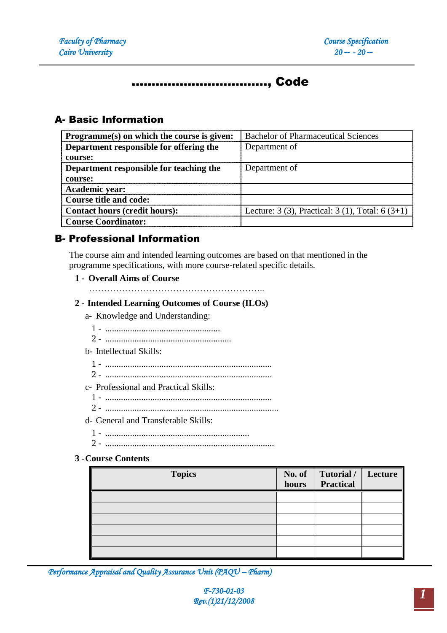# .................................., Code

## A- Basic Information

| Programme(s) on which the course is given: | <b>Bachelor of Pharmaceutical Sciences</b>       |
|--------------------------------------------|--------------------------------------------------|
| Department responsible for offering the    | Department of                                    |
| course:                                    |                                                  |
| Department responsible for teaching the    | Department of                                    |
| course:                                    |                                                  |
| <b>Academic year:</b>                      |                                                  |
| <b>Course title and code:</b>              |                                                  |
| Contact hours (credit hours):              | Lecture: 3 (3), Practical: 3 (1), Total: 6 (3+1) |
| <b>Course Coordinator:</b>                 |                                                  |

## B- Professional Information

The course aim and intended learning outcomes are based on that mentioned in the programme specifications, with more course-related specific details.

#### **1 - Overall Aims of Course**

…………………………………………………..

#### **2 - Intended Learning Outcomes of Course (ILOs)**

a- Knowledge and Understanding:

- 1 ...................................................
- 2 ........................................................

### b- Intellectual Skills:

- 1 ..........................................................................
- 2 ..........................................................................
- c- Professional and Practical Skills:
	- 1 ..........................................................................
	- 2 .............................................................................

## d- General and Transferable Skills:

- 1 ................................................................
- 2 ...........................................................................

#### **3 -Course Contents**

| <b>Topics</b> | No. of $\ $<br>hours | Tutorial / Lecture<br><b>Practical</b> |  |
|---------------|----------------------|----------------------------------------|--|
|               |                      |                                        |  |
|               |                      |                                        |  |
|               |                      |                                        |  |
|               |                      |                                        |  |
|               |                      |                                        |  |
|               |                      |                                        |  |

*Performance Appraisal and Quality Assurance Unit (PAQU – Pharm)*